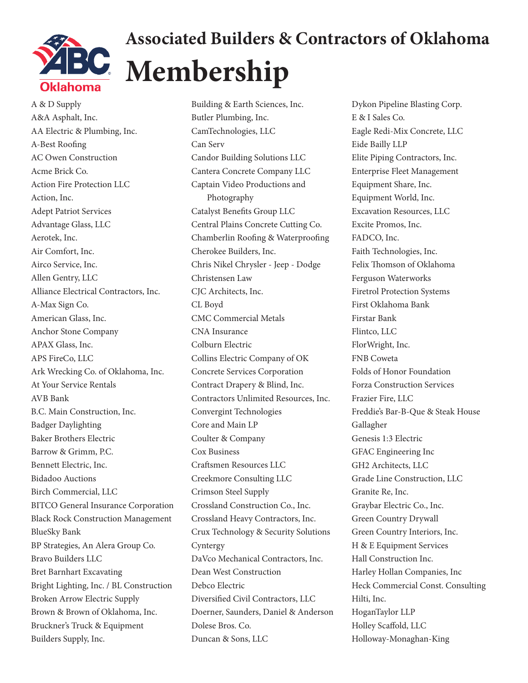

## **Associated Builders & Contractors of Oklahoma ABC** Membership

A & D Supply A&A Asphalt, Inc. AA Electric & Plumbing, Inc. A-Best Roofing AC Owen Construction Acme Brick Co. Action Fire Protection LLC Action, Inc. Adept Patriot Services Advantage Glass, LLC Aerotek, Inc. Air Comfort, Inc. Airco Service, Inc. Allen Gentry, LLC Alliance Electrical Contractors, Inc. A-Max Sign Co. American Glass, Inc. Anchor Stone Company APAX Glass, Inc. APS FireCo, LLC Ark Wrecking Co. of Oklahoma, Inc. At Your Service Rentals AVB Bank B.C. Main Construction, Inc. Badger Daylighting Baker Brothers Electric Barrow & Grimm, P.C. Bennett Electric, Inc. Bidadoo Auctions Birch Commercial, LLC BITCO General Insurance Corporation Black Rock Construction Management BlueSky Bank BP Strategies, An Alera Group Co. Bravo Builders LLC Bret Barnhart Excavating Bright Lighting, Inc. / BL Construction Broken Arrow Electric Supply Brown & Brown of Oklahoma, Inc. Bruckner's Truck & Equipment Builders Supply, Inc.

Building & Earth Sciences, Inc. Butler Plumbing, Inc. CamTechnologies, LLC Can Serv Candor Building Solutions LLC Cantera Concrete Company LLC Captain Video Productions and Photography Catalyst Benefits Group LLC Central Plains Concrete Cutting Co. Chamberlin Roofing & Waterproofing Cherokee Builders, Inc. Chris Nikel Chrysler - Jeep - Dodge Christensen Law CJC Architects, Inc. CL Boyd CMC Commercial Metals CNA Insurance Colburn Electric Collins Electric Company of OK Concrete Services Corporation Contract Drapery & Blind, Inc. Contractors Unlimited Resources, Inc. Convergint Technologies Core and Main LP Coulter & Company Cox Business Craftsmen Resources LLC Creekmore Consulting LLC Crimson Steel Supply Crossland Construction Co., Inc. Crossland Heavy Contractors, Inc. Crux Technology & Security Solutions Cyntergy DaVco Mechanical Contractors, Inc. Dean West Construction Debco Electric Diversified Civil Contractors, LLC Doerner, Saunders, Daniel & Anderson Dolese Bros. Co. Duncan & Sons, LLC

Dykon Pipeline Blasting Corp. E & I Sales Co. Eagle Redi-Mix Concrete, LLC Eide Bailly LLP Elite Piping Contractors, Inc. Enterprise Fleet Management Equipment Share, Inc. Equipment World, Inc. Excavation Resources, LLC Excite Promos, Inc. FADCO, Inc. Faith Technologies, Inc. Felix Thomson of Oklahoma Ferguson Waterworks Firetrol Protection Systems First Oklahoma Bank Firstar Bank Flintco, LLC FlorWright, Inc. FNB Coweta Folds of Honor Foundation Forza Construction Services Frazier Fire, LLC Freddie's Bar-B-Que & Steak House Gallagher Genesis 1:3 Electric GFAC Engineering Inc GH2 Architects, LLC Grade Line Construction, LLC Granite Re, Inc. Graybar Electric Co., Inc. Green Country Drywall Green Country Interiors, Inc. H & E Equipment Services Hall Construction Inc. Harley Hollan Companies, Inc Heck Commercial Const. Consulting Hilti, Inc. HoganTaylor LLP Holley Scaffold, LLC Holloway-Monaghan-King